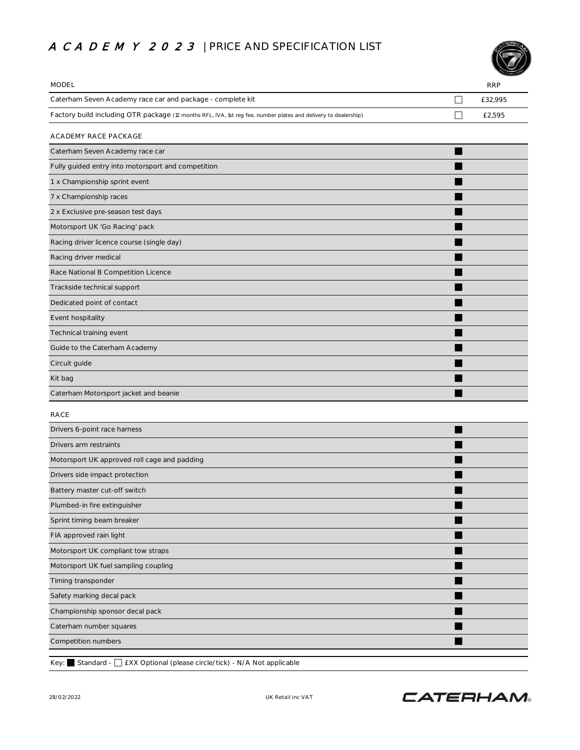## A CA DE MY 2023 | PRICE AND SPECIFICATION LIST



| <b>MODEL</b>                                                                                                    |   | <b>RRP</b> |
|-----------------------------------------------------------------------------------------------------------------|---|------------|
| Caterham Seven Academy race car and package - complete kit                                                      | П | £32,995    |
| Factory build including OTR package (12 months RFL, IVA, 1st reg fee, number plates and delivery to dealership) | П | £2,595     |
| ACADEMY RACE PACKAGE                                                                                            |   |            |
| Caterham Seven Academy race car                                                                                 |   |            |
| Fully guided entry into motorsport and competition                                                              |   |            |
| 1 x Championship sprint event                                                                                   |   |            |
| 7 x Championship races                                                                                          |   |            |
| 2 x Exclusive pre-season test days                                                                              |   |            |
| Motorsport UK 'Go Racing' pack                                                                                  |   |            |
| Racing driver licence course (single day)                                                                       |   |            |
| Racing driver medical                                                                                           |   |            |
| Race National B Competition Licence                                                                             |   |            |
| Trackside technical support                                                                                     |   |            |
| Dedicated point of contact                                                                                      |   |            |
| Event hospitality                                                                                               |   |            |
| Technical training event                                                                                        |   |            |
| Guide to the Caterham Academy                                                                                   |   |            |
| Circuit guide                                                                                                   |   |            |
| Kit bag                                                                                                         |   |            |
| Caterham Motorsport jacket and beanie                                                                           |   |            |
| <b>RACE</b>                                                                                                     |   |            |
| Drivers 6-point race harness                                                                                    |   |            |
| Drivers arm restraints                                                                                          |   |            |
| Motorsport UK approved roll cage and padding                                                                    |   |            |
| Drivers side impact protection                                                                                  |   |            |
| Battery master cut-off switch                                                                                   |   |            |
| Plumbed-in fire extinguisher                                                                                    |   |            |
| Sprint timing beam breaker                                                                                      |   |            |
| FIA approved rain light                                                                                         |   |            |
| Motorsport UK compliant tow straps                                                                              |   |            |
| Motorsport UK fuel sampling coupling                                                                            |   |            |
| Timing transponder                                                                                              |   |            |
| Safety marking decal pack                                                                                       |   |            |
| Championship sponsor decal pack                                                                                 |   |            |
| Caterham number squares                                                                                         |   |            |
| Competition numbers                                                                                             |   |            |
|                                                                                                                 |   |            |

Key: Standard - Standard - EXX Optional (please circle/tick) - N/A Not applicable

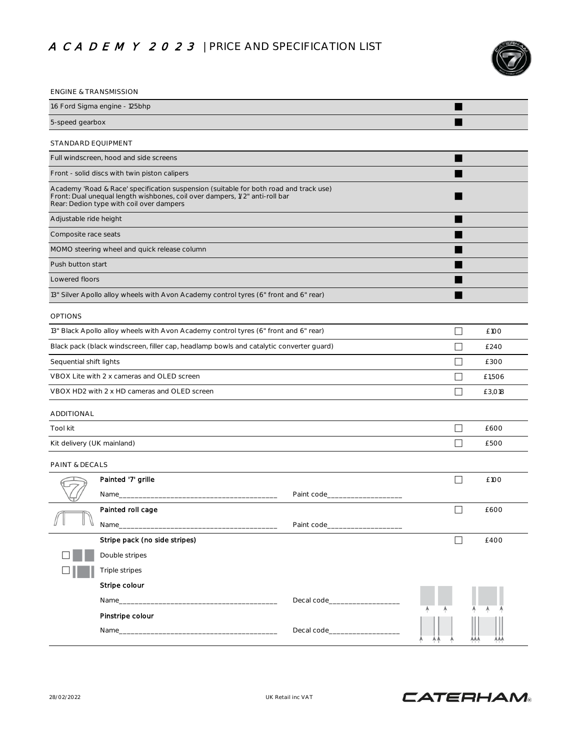## A CA DE MY 2023 | PRICE AND SPECIFICATION LIST



| <b>ENGINE &amp; TRANSMISSION</b>                                                                                                                                                                                 |                                                                                         |                                  |        |        |  |
|------------------------------------------------------------------------------------------------------------------------------------------------------------------------------------------------------------------|-----------------------------------------------------------------------------------------|----------------------------------|--------|--------|--|
| 1.6 Ford Sigma engine - 125bhp                                                                                                                                                                                   |                                                                                         |                                  |        |        |  |
| 5-speed gearbox                                                                                                                                                                                                  |                                                                                         |                                  |        |        |  |
| STANDARD EQUIPMENT                                                                                                                                                                                               |                                                                                         |                                  |        |        |  |
|                                                                                                                                                                                                                  | Full windscreen, hood and side screens                                                  |                                  |        |        |  |
|                                                                                                                                                                                                                  | Front - solid discs with twin piston calipers                                           |                                  |        |        |  |
| Academy 'Road & Race' specification suspension (suitable for both road and track use)<br>Front: Dual unequal length wishbones, coil over dampers, 1/2" anti-roll bar<br>Rear: Dedion type with coil over dampers |                                                                                         |                                  |        |        |  |
| Adjustable ride height                                                                                                                                                                                           |                                                                                         |                                  |        |        |  |
| Composite race seats                                                                                                                                                                                             |                                                                                         |                                  |        |        |  |
|                                                                                                                                                                                                                  | MOMO steering wheel and quick release column                                            |                                  |        |        |  |
| Push button start                                                                                                                                                                                                |                                                                                         |                                  |        |        |  |
| Lowered floors                                                                                                                                                                                                   |                                                                                         |                                  |        |        |  |
|                                                                                                                                                                                                                  | 13" Silver Apollo alloy wheels with Avon Academy control tyres (6" front and 6" rear)   |                                  |        |        |  |
| <b>OPTIONS</b>                                                                                                                                                                                                   |                                                                                         |                                  |        |        |  |
|                                                                                                                                                                                                                  | 13" Black Apollo alloy wheels with Avon Academy control tyres (6" front and 6" rear)    |                                  | П      | £100   |  |
|                                                                                                                                                                                                                  | Black pack (black windscreen, filler cap, headlamp bowls and catalytic converter quard) |                                  | П      | £240   |  |
| Sequential shift lights                                                                                                                                                                                          |                                                                                         |                                  |        | £300   |  |
| VBOX Lite with 2 x cameras and OLED screen                                                                                                                                                                       |                                                                                         |                                  | П      | £1,506 |  |
| VBOX HD2 with 2 x HD cameras and OLED screen                                                                                                                                                                     |                                                                                         |                                  | П      | £3,018 |  |
| ADDITIONAL                                                                                                                                                                                                       |                                                                                         |                                  |        |        |  |
| Tool kit                                                                                                                                                                                                         |                                                                                         |                                  | П      | £600   |  |
| Kit delivery (UK mainland)                                                                                                                                                                                       |                                                                                         |                                  | П      | £500   |  |
|                                                                                                                                                                                                                  |                                                                                         |                                  |        |        |  |
| PAINT & DECALS                                                                                                                                                                                                   | Painted '7' grille                                                                      |                                  | П      | £100   |  |
|                                                                                                                                                                                                                  | Name_                                                                                   | Paint code_                      |        |        |  |
|                                                                                                                                                                                                                  | Painted roll cage                                                                       |                                  | $\Box$ |        |  |
|                                                                                                                                                                                                                  |                                                                                         | Paint code______________________ |        | £600   |  |
|                                                                                                                                                                                                                  | Stripe pack (no side stripes)                                                           |                                  | П      | £400   |  |
|                                                                                                                                                                                                                  | Double stripes                                                                          |                                  |        |        |  |
|                                                                                                                                                                                                                  | Triple stripes                                                                          |                                  |        |        |  |
|                                                                                                                                                                                                                  | Stripe colour                                                                           |                                  |        |        |  |
|                                                                                                                                                                                                                  |                                                                                         |                                  |        |        |  |
|                                                                                                                                                                                                                  | Pinstripe colour                                                                        |                                  |        |        |  |
|                                                                                                                                                                                                                  | Name                                                                                    | Decal code______________         |        |        |  |

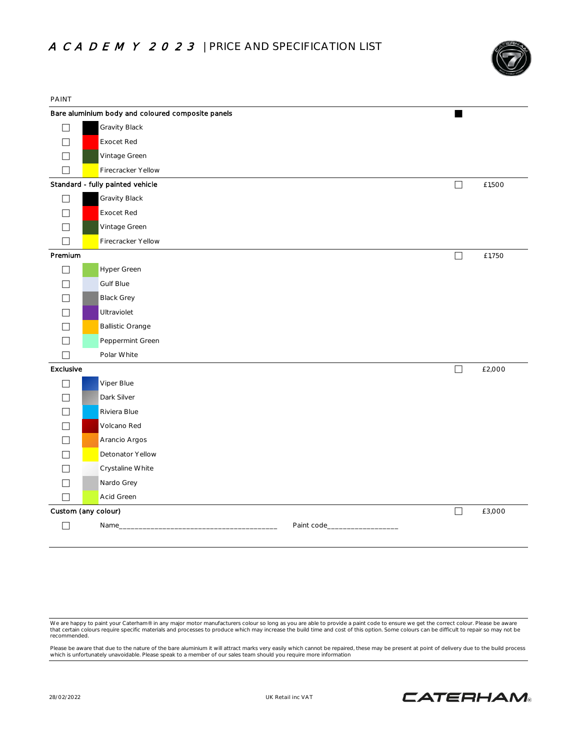

| <b>PAINT</b>             |                                                   |             |        |        |
|--------------------------|---------------------------------------------------|-------------|--------|--------|
|                          | Bare aluminium body and coloured composite panels |             |        |        |
| П                        | Gravity Black                                     |             |        |        |
| $\mathbf{I}$             | <b>Exocet Red</b>                                 |             |        |        |
| $\mathbf{I}$             | Vintage Green                                     |             |        |        |
| $\overline{\phantom{a}}$ | Firecracker Yellow                                |             |        |        |
|                          | Standard - fully painted vehicle                  |             | $\Box$ | £1,500 |
| $\perp$                  | Gravity Black                                     |             |        |        |
| $\Box$                   | Exocet Red                                        |             |        |        |
| $\overline{\phantom{a}}$ | Vintage Green                                     |             |        |        |
| П                        | Firecracker Yellow                                |             |        |        |
| Premium                  |                                                   |             | $\Box$ | £1,750 |
| П                        | Hyper Green                                       |             |        |        |
| П                        | <b>Gulf Blue</b>                                  |             |        |        |
| П                        | <b>Black Grey</b>                                 |             |        |        |
|                          | Ultraviolet                                       |             |        |        |
|                          | <b>Ballistic Orange</b>                           |             |        |        |
|                          | Peppermint Green                                  |             |        |        |
| $\Box$                   | Polar White                                       |             |        |        |
| Exclusive                |                                                   |             | $\Box$ | £2,000 |
| $\Box$                   | Viper Blue                                        |             |        |        |
|                          | Dark Silver                                       |             |        |        |
|                          | Riviera Blue                                      |             |        |        |
|                          | Volcano Red                                       |             |        |        |
| П                        | Arancio Argos                                     |             |        |        |
| П                        | Detonator Yellow                                  |             |        |        |
| $\mathbf{I}$             | Crystaline White                                  |             |        |        |
| $\overline{\phantom{a}}$ | Nardo Grey                                        |             |        |        |
| $\Box$                   | Acid Green                                        |             |        |        |
|                          | Custom (any colour)                               |             | $\Box$ | £3,000 |
| $\Box$                   | Name_                                             | Paint code_ |        |        |
|                          |                                                   |             |        |        |

We are happy to paint your Caterham® in any major motor manufacturers colour so long as you are able to provide a paint code to ensure we get the correct colour. Please be aware<br>that certain colours require specific materi recommended.

Please be aware that due to the nature of the bare aluminium it will attract marks very easily which cannot be repaired, these may be present at point of delivery due to the build process<br>which is unfortunately unavoidable